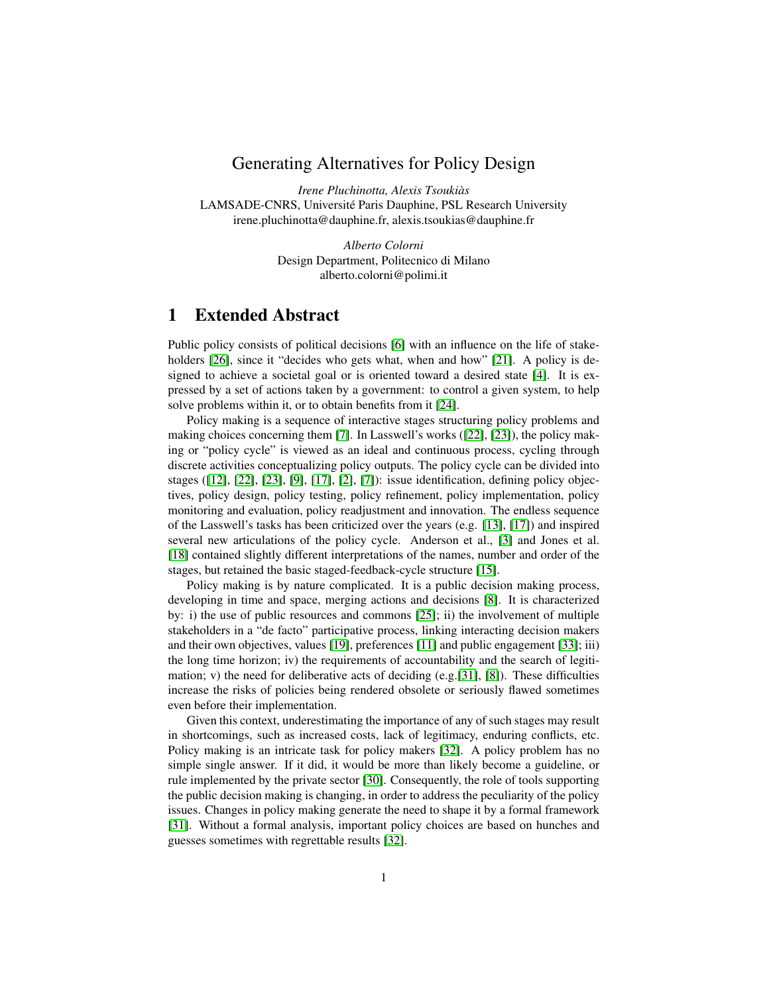## Generating Alternatives for Policy Design

*Irene Pluchinotta, Alexis Tsoukiàs* LAMSADE-CNRS, Université Paris Dauphine, PSL Research University irene.pluchinotta@dauphine.fr, alexis.tsoukias@dauphine.fr

> *Alberto Colorni* Design Department, Politecnico di Milano alberto.colorni@polimi.it

## 1 Extended Abstract

Public policy consists of political decisions [\[6\]](#page-2-0) with an influence on the life of stake-holders [\[26\]](#page-3-0), since it "decides who gets what, when and how" [\[21\]](#page-3-1). A policy is designed to achieve a societal goal or is oriented toward a desired state [\[4\]](#page-2-1). It is expressed by a set of actions taken by a government: to control a given system, to help solve problems within it, or to obtain benefits from it [\[24\]](#page-3-2).

Policy making is a sequence of interactive stages structuring policy problems and making choices concerning them [\[7\]](#page-2-2). In Lasswell's works ([\[22\]](#page-3-3), [\[23\]](#page-3-4)), the policy making or "policy cycle" is viewed as an ideal and continuous process, cycling through discrete activities conceptualizing policy outputs. The policy cycle can be divided into stages ([\[12\]](#page-2-3), [\[22\]](#page-3-3), [\[23\]](#page-3-4), [\[9\]](#page-2-4), [\[17\]](#page-3-5), [\[2\]](#page-2-5), [\[7\]](#page-2-2)): issue identification, defining policy objectives, policy design, policy testing, policy refinement, policy implementation, policy monitoring and evaluation, policy readjustment and innovation. The endless sequence of the Lasswell's tasks has been criticized over the years (e.g. [\[13\]](#page-3-6), [\[17\]](#page-3-5)) and inspired several new articulations of the policy cycle. Anderson et al., [\[3\]](#page-2-6) and Jones et al. [\[18\]](#page-3-7) contained slightly different interpretations of the names, number and order of the stages, but retained the basic staged-feedback-cycle structure [\[15\]](#page-3-8).

Policy making is by nature complicated. It is a public decision making process, developing in time and space, merging actions and decisions [\[8\]](#page-2-7). It is characterized by: i) the use of public resources and commons [\[25\]](#page-3-9); ii) the involvement of multiple stakeholders in a "de facto" participative process, linking interacting decision makers and their own objectives, values [\[19\]](#page-3-10), preferences [\[11\]](#page-2-8) and public engagement [\[33\]](#page-4-0); iii) the long time horizon; iv) the requirements of accountability and the search of legitimation; v) the need for deliberative acts of deciding  $(e.g.[31], [8])$  $(e.g.[31], [8])$  $(e.g.[31], [8])$  $(e.g.[31], [8])$  $(e.g.[31], [8])$ . These difficulties increase the risks of policies being rendered obsolete or seriously flawed sometimes even before their implementation.

Given this context, underestimating the importance of any of such stages may result in shortcomings, such as increased costs, lack of legitimacy, enduring conflicts, etc. Policy making is an intricate task for policy makers [\[32\]](#page-4-2). A policy problem has no simple single answer. If it did, it would be more than likely become a guideline, or rule implemented by the private sector [\[30\]](#page-4-3). Consequently, the role of tools supporting the public decision making is changing, in order to address the peculiarity of the policy issues. Changes in policy making generate the need to shape it by a formal framework [\[31\]](#page-4-1). Without a formal analysis, important policy choices are based on hunches and guesses sometimes with regrettable results [\[32\]](#page-4-2).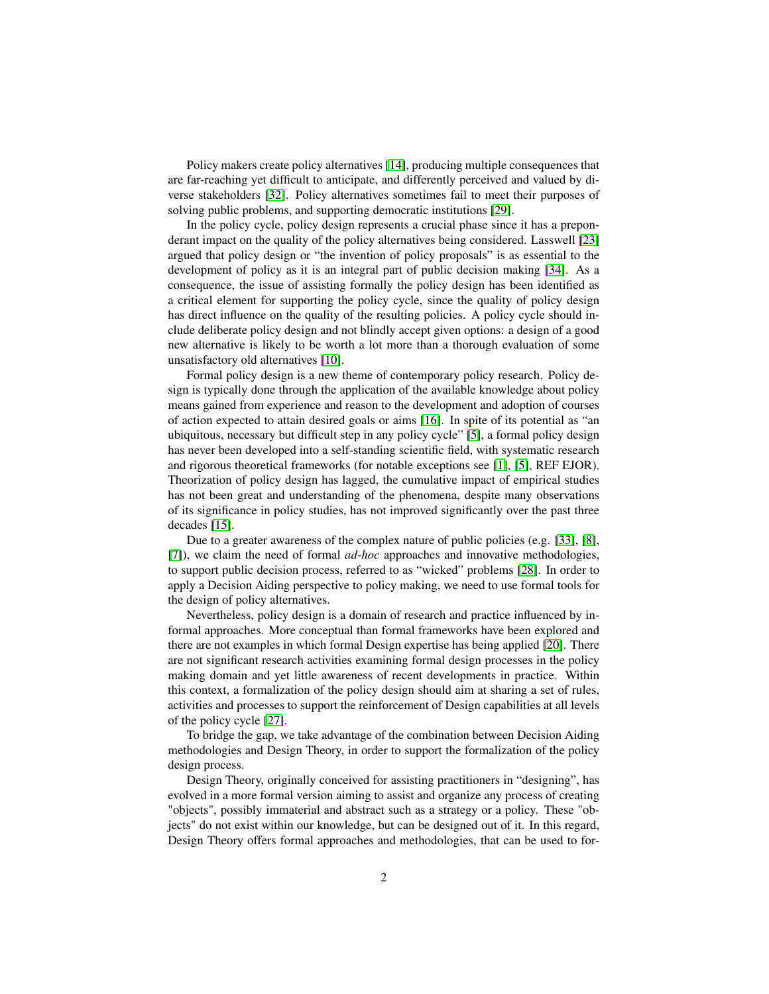Policy makers create policy alternatives [\[14\]](#page-3-11), producing multiple consequences that are far-reaching yet difficult to anticipate, and differently perceived and valued by diverse stakeholders [\[32\]](#page-4-2). Policy alternatives sometimes fail to meet their purposes of solving public problems, and supporting democratic institutions [\[29\]](#page-4-4).

In the policy cycle, policy design represents a crucial phase since it has a preponderant impact on the quality of the policy alternatives being considered. Lasswell [\[23\]](#page-3-4) argued that policy design or "the invention of policy proposals" is as essential to the development of policy as it is an integral part of public decision making [\[34\]](#page-4-5). As a consequence, the issue of assisting formally the policy design has been identified as a critical element for supporting the policy cycle, since the quality of policy design has direct influence on the quality of the resulting policies. A policy cycle should include deliberate policy design and not blindly accept given options: a design of a good new alternative is likely to be worth a lot more than a thorough evaluation of some unsatisfactory old alternatives [\[10\]](#page-2-9).

Formal policy design is a new theme of contemporary policy research. Policy design is typically done through the application of the available knowledge about policy means gained from experience and reason to the development and adoption of courses of action expected to attain desired goals or aims [\[16\]](#page-3-12). In spite of its potential as "an ubiquitous, necessary but difficult step in any policy cycle" [\[5\]](#page-2-10), a formal policy design has never been developed into a self-standing scientific field, with systematic research and rigorous theoretical frameworks (for notable exceptions see [\[1\]](#page-2-11), [\[5\]](#page-2-10), REF EJOR). Theorization of policy design has lagged, the cumulative impact of empirical studies has not been great and understanding of the phenomena, despite many observations of its significance in policy studies, has not improved significantly over the past three decades [\[15\]](#page-3-8).

Due to a greater awareness of the complex nature of public policies (e.g. [\[33\]](#page-4-0), [\[8\]](#page-2-7), [\[7\]](#page-2-2)), we claim the need of formal *ad-hoc* approaches and innovative methodologies, to support public decision process, referred to as "wicked" problems [\[28\]](#page-3-13). In order to apply a Decision Aiding perspective to policy making, we need to use formal tools for the design of policy alternatives.

Nevertheless, policy design is a domain of research and practice influenced by informal approaches. More conceptual than formal frameworks have been explored and there are not examples in which formal Design expertise has being applied [\[20\]](#page-3-14). There are not significant research activities examining formal design processes in the policy making domain and yet little awareness of recent developments in practice. Within this context, a formalization of the policy design should aim at sharing a set of rules, activities and processes to support the reinforcement of Design capabilities at all levels of the policy cycle [\[27\]](#page-3-15).

To bridge the gap, we take advantage of the combination between Decision Aiding methodologies and Design Theory, in order to support the formalization of the policy design process.

Design Theory, originally conceived for assisting practitioners in "designing", has evolved in a more formal version aiming to assist and organize any process of creating "objects", possibly immaterial and abstract such as a strategy or a policy. These "objects" do not exist within our knowledge, but can be designed out of it. In this regard, Design Theory offers formal approaches and methodologies, that can be used to for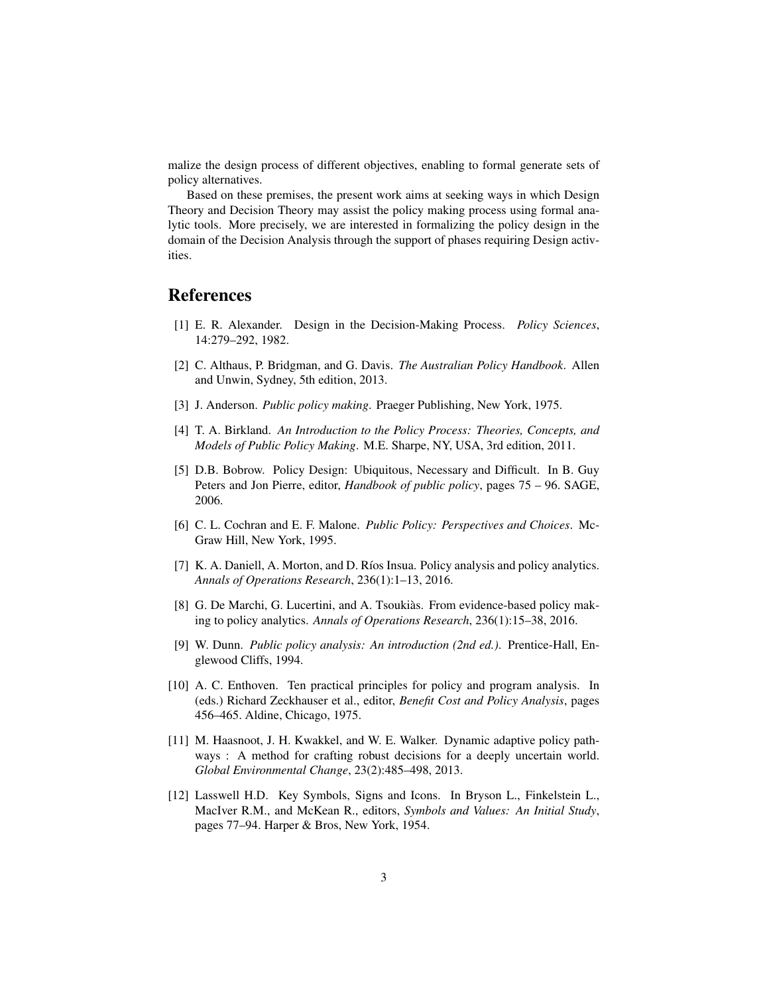malize the design process of different objectives, enabling to formal generate sets of policy alternatives.

Based on these premises, the present work aims at seeking ways in which Design Theory and Decision Theory may assist the policy making process using formal analytic tools. More precisely, we are interested in formalizing the policy design in the domain of the Decision Analysis through the support of phases requiring Design activities.

## References

- <span id="page-2-11"></span>[1] E. R. Alexander. Design in the Decision-Making Process. *Policy Sciences*, 14:279–292, 1982.
- <span id="page-2-5"></span>[2] C. Althaus, P. Bridgman, and G. Davis. *The Australian Policy Handbook*. Allen and Unwin, Sydney, 5th edition, 2013.
- <span id="page-2-6"></span>[3] J. Anderson. *Public policy making*. Praeger Publishing, New York, 1975.
- <span id="page-2-1"></span>[4] T. A. Birkland. *An Introduction to the Policy Process: Theories, Concepts, and Models of Public Policy Making*. M.E. Sharpe, NY, USA, 3rd edition, 2011.
- <span id="page-2-10"></span>[5] D.B. Bobrow. Policy Design: Ubiquitous, Necessary and Difficult. In B. Guy Peters and Jon Pierre, editor, *Handbook of public policy*, pages 75 – 96. SAGE, 2006.
- <span id="page-2-0"></span>[6] C. L. Cochran and E. F. Malone. *Public Policy: Perspectives and Choices*. Mc-Graw Hill, New York, 1995.
- <span id="page-2-2"></span>[7] K. A. Daniell, A. Morton, and D. Ríos Insua. Policy analysis and policy analytics. *Annals of Operations Research*, 236(1):1–13, 2016.
- <span id="page-2-7"></span>[8] G. De Marchi, G. Lucertini, and A. Tsoukiàs. From evidence-based policy making to policy analytics. *Annals of Operations Research*, 236(1):15–38, 2016.
- <span id="page-2-4"></span>[9] W. Dunn. *Public policy analysis: An introduction (2nd ed.)*. Prentice-Hall, Englewood Cliffs, 1994.
- <span id="page-2-9"></span>[10] A. C. Enthoven. Ten practical principles for policy and program analysis. In (eds.) Richard Zeckhauser et al., editor, *Benefit Cost and Policy Analysis*, pages 456–465. Aldine, Chicago, 1975.
- <span id="page-2-8"></span>[11] M. Haasnoot, J. H. Kwakkel, and W. E. Walker. Dynamic adaptive policy pathways : A method for crafting robust decisions for a deeply uncertain world. *Global Environmental Change*, 23(2):485–498, 2013.
- <span id="page-2-3"></span>[12] Lasswell H.D. Key Symbols, Signs and Icons. In Bryson L., Finkelstein L., MacIver R.M., and McKean R., editors, *Symbols and Values: An Initial Study*, pages 77–94. Harper & Bros, New York, 1954.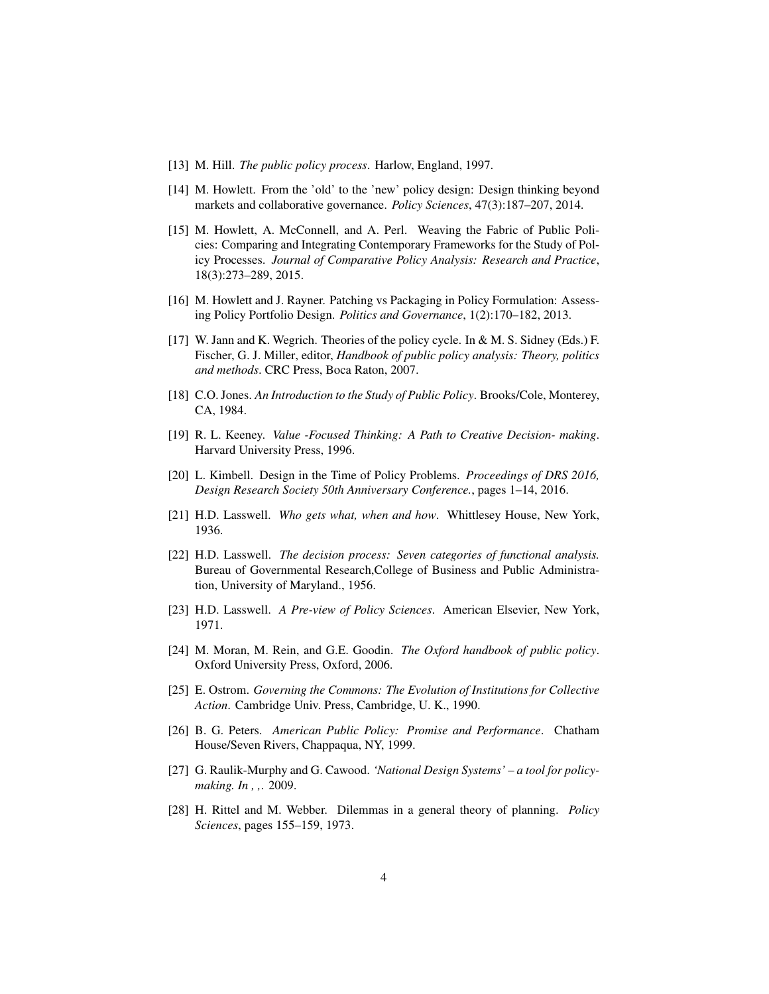- <span id="page-3-6"></span>[13] M. Hill. *The public policy process*. Harlow, England, 1997.
- <span id="page-3-11"></span>[14] M. Howlett. From the 'old' to the 'new' policy design: Design thinking beyond markets and collaborative governance. *Policy Sciences*, 47(3):187–207, 2014.
- <span id="page-3-8"></span>[15] M. Howlett, A. McConnell, and A. Perl. Weaving the Fabric of Public Policies: Comparing and Integrating Contemporary Frameworks for the Study of Policy Processes. *Journal of Comparative Policy Analysis: Research and Practice*, 18(3):273–289, 2015.
- <span id="page-3-12"></span>[16] M. Howlett and J. Rayner. Patching vs Packaging in Policy Formulation: Assessing Policy Portfolio Design. *Politics and Governance*, 1(2):170–182, 2013.
- <span id="page-3-5"></span>[17] W. Jann and K. Wegrich. Theories of the policy cycle. In & M. S. Sidney (Eds.) F. Fischer, G. J. Miller, editor, *Handbook of public policy analysis: Theory, politics and methods*. CRC Press, Boca Raton, 2007.
- <span id="page-3-7"></span>[18] C.O. Jones. *An Introduction to the Study of Public Policy*. Brooks/Cole, Monterey, CA, 1984.
- <span id="page-3-10"></span>[19] R. L. Keeney. *Value -Focused Thinking: A Path to Creative Decision- making*. Harvard University Press, 1996.
- <span id="page-3-14"></span>[20] L. Kimbell. Design in the Time of Policy Problems. *Proceedings of DRS 2016, Design Research Society 50th Anniversary Conference.*, pages 1–14, 2016.
- <span id="page-3-1"></span>[21] H.D. Lasswell. *Who gets what, when and how*. Whittlesey House, New York, 1936.
- <span id="page-3-3"></span>[22] H.D. Lasswell. *The decision process: Seven categories of functional analysis.* Bureau of Governmental Research,College of Business and Public Administration, University of Maryland., 1956.
- <span id="page-3-4"></span>[23] H.D. Lasswell. *A Pre-view of Policy Sciences*. American Elsevier, New York, 1971.
- <span id="page-3-2"></span>[24] M. Moran, M. Rein, and G.E. Goodin. *The Oxford handbook of public policy*. Oxford University Press, Oxford, 2006.
- <span id="page-3-9"></span>[25] E. Ostrom. *Governing the Commons: The Evolution of Institutions for Collective Action*. Cambridge Univ. Press, Cambridge, U. K., 1990.
- <span id="page-3-0"></span>[26] B. G. Peters. *American Public Policy: Promise and Performance*. Chatham House/Seven Rivers, Chappaqua, NY, 1999.
- <span id="page-3-15"></span>[27] G. Raulik-Murphy and G. Cawood. *'National Design Systems' – a tool for policymaking. In , ,*. 2009.
- <span id="page-3-13"></span>[28] H. Rittel and M. Webber. Dilemmas in a general theory of planning. *Policy Sciences*, pages 155–159, 1973.